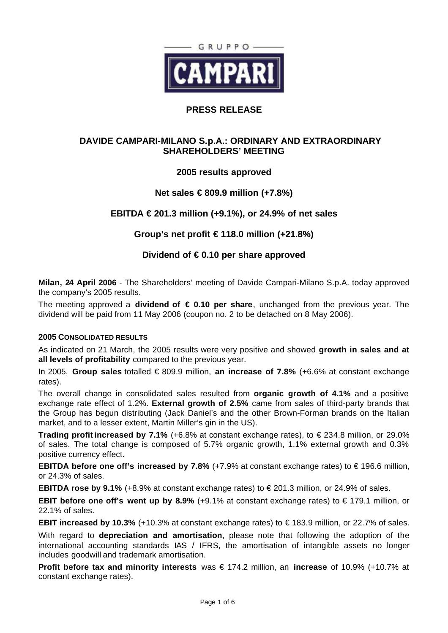

# **PRESS RELEASE**

# **DAVIDE CAMPARI-MILANO S.p.A.: ORDINARY AND EXTRAORDINARY SHAREHOLDERS' MEETING**

# **2005 results approved**

# **Net sales € 809.9 million (+7.8%)**

# **EBITDA € 201.3 million (+9.1%), or 24.9% of net sales**

**Group's net profit € 118.0 million (+21.8%)**

# **Dividend of € 0.10 per share approved**

**Milan, 24 April 2006** - The Shareholders' meeting of Davide Campari-Milano S.p.A. today approved the company's 2005 results.

The meeting approved a **dividend of € 0.10 per share**, unchanged from the previous year. The dividend will be paid from 11 May 2006 (coupon no. 2 to be detached on 8 May 2006).

### **2005 CONSOLIDATED RESULTS**

As indicated on 21 March, the 2005 results were very positive and showed **growth in sales and at all levels of profitability** compared to the previous year.

In 2005, **Group sales** totalled € 809.9 million, **an increase of 7.8%** (+6.6% at constant exchange rates).

The overall change in consolidated sales resulted from **organic growth of 4.1%** and a positive exchange rate effect of 1.2%. **External growth of 2.5%** came from sales of third-party brands that the Group has begun distributing (Jack Daniel's and the other Brown-Forman brands on the Italian market, and to a lesser extent, Martin Miller's gin in the US).

**Trading profit increased by 7.1%** (+6.8% at constant exchange rates), to € 234.8 million, or 29.0% of sales. The total change is composed of 5.7% organic growth, 1.1% external growth and 0.3% positive currency effect.

**EBITDA before one off's increased by 7.8%** (+7.9% at constant exchange rates) to €196.6 million, or 24.3% of sales.

**EBITDA rose by 9.1%** (+8.9% at constant exchange rates) to € 201.3 million, or 24.9% of sales.

**EBIT before one off's went up by 8.9%** (+9.1% at constant exchange rates) to € 179.1 million, or 22.1% of sales.

**EBIT increased by 10.3%** (+10.3% at constant exchange rates) to € 183.9 million, or 22.7% of sales.

With regard to **depreciation and amortisation**, please note that following the adoption of the international accounting standards IAS / IFRS, the amortisation of intangible assets no longer includes goodwill and trademark amortisation.

**Profit before tax and minority interests** was € 174.2 million, an **increase** of 10.9% (+10.7% at constant exchange rates).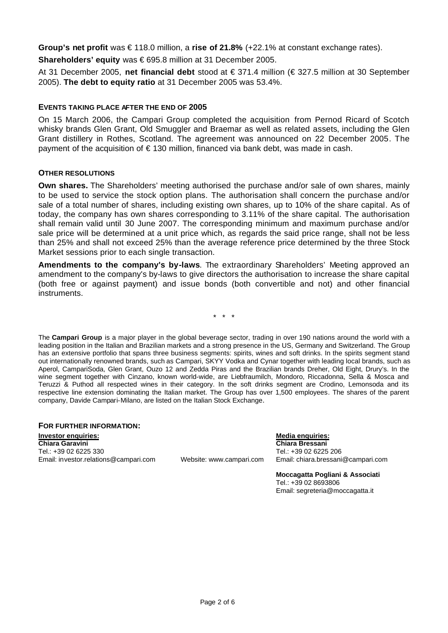**Group's net profit** was € 118.0 million, a **rise of 21.8%** (+22.1% at constant exchange rates).

**Shareholders' equity** was € 695.8 million at 31 December 2005.

At 31 December 2005, **net financial debt** stood at € 371.4 million (€ 327.5 million at 30 September 2005). **The debt to equity ratio** at 31 December 2005 was 53.4%.

### **EVENTS TAKING PLACE AFTER THE END OF 2005**

On 15 March 2006, the Campari Group completed the acquisition from Pernod Ricard of Scotch whisky brands Glen Grant, Old Smuggler and Braemar as well as related assets, including the Glen Grant distillery in Rothes, Scotland. The agreement was announced on 22 December 2005. The payment of the acquisition of  $\epsilon$  130 million, financed via bank debt, was made in cash.

### **OTHER RESOLUTIONS**

**Own shares.** The Shareholders' meeting authorised the purchase and/or sale of own shares, mainly to be used to service the stock option plans. The authorisation shall concern the purchase and/or sale of a total number of shares, including existing own shares, up to 10% of the share capital. As of today, the company has own shares corresponding to 3.11% of the share capital. The authorisation shall remain valid until 30 June 2007. The corresponding minimum and maximum purchase and/or sale price will be determined at a unit price which, as regards the said price range, shall not be less than 25% and shall not exceed 25% than the average reference price determined by the three Stock Market sessions prior to each single transaction.

**Amendments to the company's by-laws**. The extraordinary Shareholders' Meeting approved an amendment to the company's by-laws to give directors the authorisation to increase the share capital (both free or against payment) and issue bonds (both convertible and not) and other financial instruments.

\* \* \*

The **Campari Group** is a major player in the global beverage sector, trading in over 190 nations around the world with a leading position in the Italian and Brazilian markets and a strong presence in the US, Germany and Switzerland. The Group has an extensive portfolio that spans three business segments: spirits, wines and soft drinks. In the spirits segment stand out internationally renowned brands, such as Campari, SKYY Vodka and Cynar together with leading local brands, such as Aperol, CampariSoda, Glen Grant, Ouzo 12 and Zedda Piras and the Brazilian brands Dreher, Old Eight, Drury's. In the wine segment together with Cinzano, known world-wide, are Liebfraumilch, Mondoro, Riccadonna, Sella & Mosca and Teruzzi & Puthod all respected wines in their category. In the soft drinks segment are Crodino, Lemonsoda and its respective line extension dominating the Italian market. The Group has over 1,500 employees. The shares of the parent company, Davide Campari-Milano, are listed on the Italian Stock Exchange.

# **FOR FURTHER INFORMATION: Investor enquiries: Media enquiries:** Tel.: +39 02 6225 330 Tel.: +39 02 6225 206 Email: investor.relations@campari.com Website: www.campari.com Email: chiara.bressani@campari.com

# **Chiara Garavini Chiara Bressani**

**Moccagatta Pogliani & Associati** Tel.: +39 02 8693806 Email: segreteria@moccagatta.it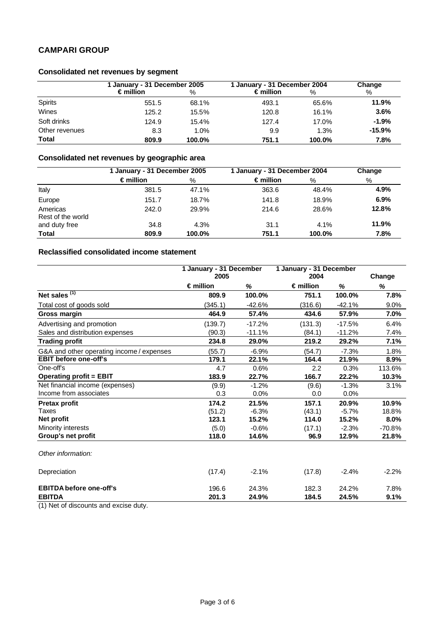# **CAMPARI GROUP**

# **Consolidated net revenues by segment**

|                | 1 January - 31 December 2005 |          | 1 January - 31 December 2004 |        | Change   |  |
|----------------|------------------------------|----------|------------------------------|--------|----------|--|
|                | $\epsilon$ million           | ℅        | $\epsilon$ million           | %      | %        |  |
| Spirits        | 551.5                        | 68.1%    | 493.1                        | 65.6%  | 11.9%    |  |
| Wines          | 125.2                        | $15.5\%$ | 120.8                        | 16.1%  | 3.6%     |  |
| Soft drinks    | 124.9                        | $15.4\%$ | 127.4                        | 17.0%  | $-1.9%$  |  |
| Other revenues | 8.3                          | 1.0%     | 9.9                          | 1.3%   | $-15.9%$ |  |
| <b>Total</b>   | 809.9                        | 100.0%   | 751.1                        | 100.0% | 7.8%     |  |

# **Consolidated net revenues by geographic area**

|                               | 1 January - 31 December 2005 |        | 1 January - 31 December 2004 |        | Change |
|-------------------------------|------------------------------|--------|------------------------------|--------|--------|
|                               | $\epsilon$ million           | %      | $\epsilon$ million           | %      | %      |
| Italy                         | 381.5                        | 47.1%  | 363.6                        | 48.4%  | 4.9%   |
| Europe                        | 151.7                        | 18.7%  | 141.8                        | 18.9%  | 6.9%   |
| Americas<br>Rest of the world | 242.0                        | 29.9%  | 214.6                        | 28.6%  | 12.8%  |
| and duty free                 | 34.8                         | 4.3%   | 31.1                         | 4.1%   | 11.9%  |
| <b>Total</b>                  | 809.9                        | 100.0% | 751.1                        | 100.0% | 7.8%   |

### **Reclassified consolidated income statement**

|                                           | 1 January - 31 December<br>2005 |          | 1 January - 31 December<br>2004 |          | Change   |
|-------------------------------------------|---------------------------------|----------|---------------------------------|----------|----------|
|                                           | $\epsilon$ million              | %        | $\epsilon$ million              | %        | %        |
| Net sales $(1)$                           | 809.9                           | 100.0%   | 751.1                           | 100.0%   | 7.8%     |
| Total cost of goods sold                  | (345.1)                         | $-42.6%$ | (316.6)                         | $-42.1%$ | 9.0%     |
| Gross margin                              | 464.9                           | 57.4%    | 434.6                           | 57.9%    | 7.0%     |
| Advertising and promotion                 | (139.7)                         | $-17.2%$ | (131.3)                         | $-17.5%$ | 6.4%     |
| Sales and distribution expenses           | (90.3)                          | $-11.1%$ | (84.1)                          | $-11.2%$ | 7.4%     |
| <b>Trading profit</b>                     | 234.8                           | 29.0%    | 219.2                           | 29.2%    | 7.1%     |
| G&A and other operating income / expenses | (55.7)                          | $-6.9%$  | (54.7)                          | $-7.3%$  | 1.8%     |
| <b>EBIT before one-off's</b>              | 179.1                           | 22.1%    | 164.4                           | 21.9%    | 8.9%     |
| One-off's                                 | 4.7                             | 0.6%     | 2.2                             | 0.3%     | 113.6%   |
| <b>Operating profit = EBIT</b>            | 183.9                           | 22.7%    | 166.7                           | 22.2%    | 10.3%    |
| Net financial income (expenses)           | (9.9)                           | $-1.2%$  | (9.6)                           | $-1.3%$  | 3.1%     |
| Income from associates                    | 0.3                             | 0.0%     | 0.0                             | 0.0%     |          |
| <b>Pretax profit</b>                      | 174.2                           | 21.5%    | 157.1                           | 20.9%    | 10.9%    |
| Taxes                                     | (51.2)                          | $-6.3%$  | (43.1)                          | $-5.7%$  | 18.8%    |
| Net profit                                | 123.1                           | 15.2%    | 114.0                           | 15.2%    | 8.0%     |
| Minority interests                        | (5.0)                           | $-0.6%$  | (17.1)                          | $-2.3%$  | $-70.8%$ |
| Group's net profit                        | 118.0                           | 14.6%    | 96.9                            | 12.9%    | 21.8%    |
| Other information:                        |                                 |          |                                 |          |          |
| Depreciation                              | (17.4)                          | $-2.1%$  | (17.8)                          | $-2.4%$  | $-2.2%$  |
| <b>EBITDA before one-off's</b>            | 196.6                           | 24.3%    | 182.3                           | 24.2%    | 7.8%     |
| <b>EBITDA</b>                             | 201.3                           | 24.9%    | 184.5                           | 24.5%    | 9.1%     |

(1) Net of discounts and excise duty.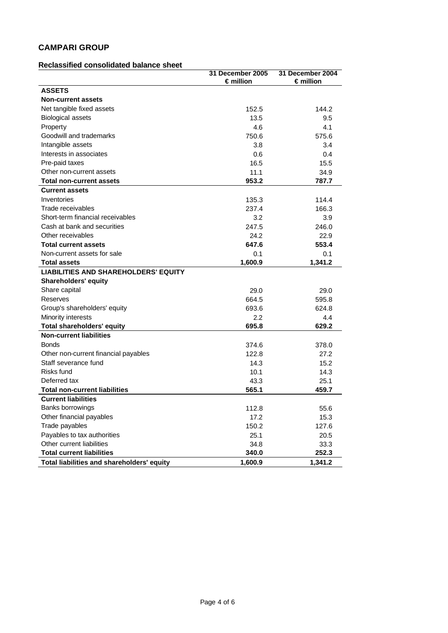# **CAMPARI GROUP**

### **Reclassified consolidated balance sheet**

|                                             | 31 December 2005   | 31 December 2004   |
|---------------------------------------------|--------------------|--------------------|
|                                             | $\epsilon$ million | $\epsilon$ million |
| <b>ASSETS</b>                               |                    |                    |
| <b>Non-current assets</b>                   |                    |                    |
| Net tangible fixed assets                   | 152.5              | 144.2              |
| <b>Biological assets</b>                    | 13.5               | 9.5                |
| Property                                    | 4.6                | 4.1                |
| Goodwill and trademarks                     | 750.6              | 575.6              |
| Intangible assets                           | 3.8                | 3.4                |
| Interests in associates                     | 0.6                | 0.4                |
| Pre-paid taxes                              | 16.5               | 15.5               |
| Other non-current assets                    | 11.1               | 34.9               |
| <b>Total non-current assets</b>             | 953.2              | 787.7              |
| <b>Current assets</b>                       |                    |                    |
| Inventories                                 | 135.3              | 114.4              |
| Trade receivables                           | 237.4              | 166.3              |
| Short-term financial receivables            | 3.2                | 3.9                |
| Cash at bank and securities                 | 247.5              | 246.0              |
| Other receivables                           | 24.2               | 22.9               |
| <b>Total current assets</b>                 | 647.6              | 553.4              |
| Non-current assets for sale                 | 0.1                | 0.1                |
| <b>Total assets</b>                         | 1,600.9            | 1,341.2            |
| <b>LIABILITIES AND SHAREHOLDERS' EQUITY</b> |                    |                    |
| <b>Shareholders' equity</b>                 |                    |                    |
| Share capital                               | 29.0               | 29.0               |
| Reserves                                    | 664.5              | 595.8              |
| Group's shareholders' equity                | 693.6              | 624.8              |
| Minority interests                          | 2.2                | 4.4                |
| <b>Total shareholders' equity</b>           | 695.8              | 629.2              |
| <b>Non-current liabilities</b>              |                    |                    |
| <b>Bonds</b>                                | 374.6              | 378.0              |
| Other non-current financial payables        | 122.8              | 27.2               |
| Staff severance fund                        | 14.3               | 15.2               |
| Risks fund                                  | 10.1               | 14.3               |
| Deferred tax                                | 43.3               | 25.1               |
| <b>Total non-current liabilities</b>        | 565.1              | 459.7              |
| <b>Current liabilities</b>                  |                    |                    |
| Banks borrowings                            | 112.8              | 55.6               |
| Other financial payables                    | 17.2               | 15.3               |
| Trade payables                              | 150.2              | 127.6              |
| Payables to tax authorities                 | 25.1               | 20.5               |
| Other current liabilities                   | 34.8               | 33.3               |
| <b>Total current liabilities</b>            | 340.0              | 252.3              |
| Total liabilities and shareholders' equity  | 1,600.9            | 1,341.2            |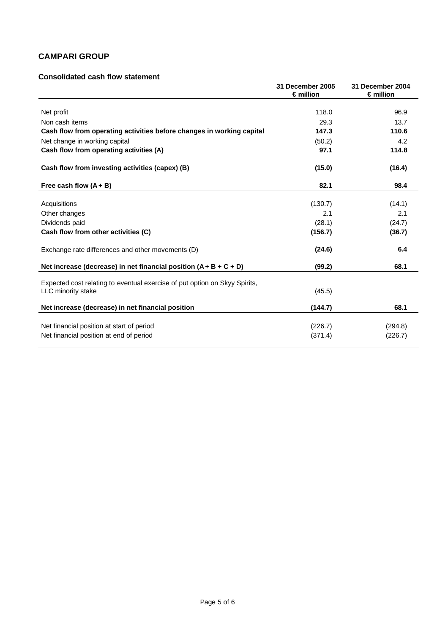# **CAMPARI GROUP**

### **Consolidated cash flow statement**

|                                                                                                  | 31 December 2005<br>$\epsilon$ million | 31 December 2004<br>$\epsilon$ million |
|--------------------------------------------------------------------------------------------------|----------------------------------------|----------------------------------------|
|                                                                                                  |                                        |                                        |
| Net profit                                                                                       | 118.0                                  | 96.9                                   |
| Non cash items                                                                                   | 29.3                                   | 13.7                                   |
| Cash flow from operating activities before changes in working capital                            | 147.3                                  | 110.6                                  |
| Net change in working capital                                                                    | (50.2)                                 | 4.2                                    |
| Cash flow from operating activities (A)                                                          | 97.1                                   | 114.8                                  |
| Cash flow from investing activities (capex) (B)                                                  | (15.0)                                 | (16.4)                                 |
| Free cash flow $(A + B)$                                                                         | 82.1                                   | 98.4                                   |
|                                                                                                  |                                        |                                        |
| Acquisitions                                                                                     | (130.7)                                | (14.1)                                 |
| Other changes                                                                                    | 2.1                                    | 2.1                                    |
| Dividends paid                                                                                   | (28.1)                                 | (24.7)                                 |
| Cash flow from other activities (C)                                                              | (156.7)                                | (36.7)                                 |
| Exchange rate differences and other movements (D)                                                | (24.6)                                 | 6.4                                    |
| Net increase (decrease) in net financial position $(A + B + C + D)$                              | (99.2)                                 | 68.1                                   |
| Expected cost relating to eventual exercise of put option on Skyy Spirits,<br>LLC minority stake | (45.5)                                 |                                        |
| Net increase (decrease) in net financial position                                                | (144.7)                                | 68.1                                   |
| Net financial position at start of period                                                        |                                        |                                        |
|                                                                                                  | (226.7)                                | (294.8)                                |
| Net financial position at end of period                                                          | (371.4)                                | (226.7)                                |